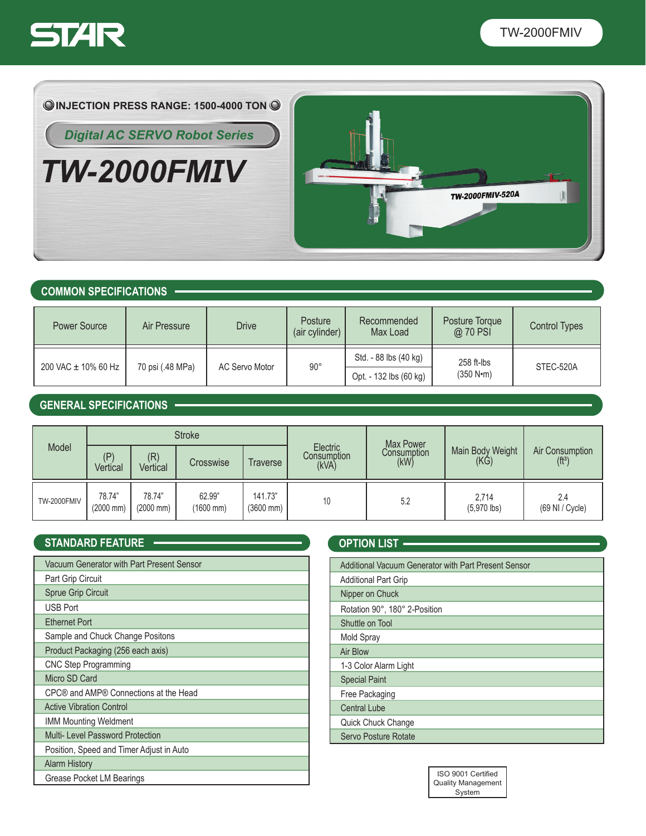



*TW-2000FMIV*



### **COMMON SPECIFICATIONS**

| Power Source        | Air Pressure     | <b>Drive</b>   | Posture<br>(air cylinder) | Recommended<br>Max Load                         | Posture Torque<br>@ 70 PSI | <b>Control Types</b> |
|---------------------|------------------|----------------|---------------------------|-------------------------------------------------|----------------------------|----------------------|
| 200 VAC ± 10% 60 Hz | 70 psi (.48 MPa) | AC Servo Motor | $90^{\circ}$              | Std. - 88 lbs (40 kg)<br>Opt. - 132 lbs (60 kg) | $258$ ft-lbs<br>(350 N·m)  | STEC-520A            |

## **GENERAL SPECIFICATIONS**

| Model              | <b>Stroke</b>                   |                                 |                                 |                                  | Max Power                        |                     |                                    |                                        |
|--------------------|---------------------------------|---------------------------------|---------------------------------|----------------------------------|----------------------------------|---------------------|------------------------------------|----------------------------------------|
|                    | (P)<br>Vertical                 | (R)<br>Vertical                 | Crosswise                       | Traverse                         | Electric<br>Consumption<br>(kVA) | Consumption<br>(kW) | Main Body Weight<br>$(K\check{G})$ | Air Consumption<br>(f t <sup>3</sup> ) |
| <b>TW-2000FMIV</b> | 78.74"<br>$(2000 \, \text{mm})$ | 78.74"<br>$(2000 \, \text{mm})$ | 62.99"<br>$(1600 \, \text{mm})$ | 141.73"<br>$(3600 \, \text{mm})$ | 10                               | 5.2                 | 2,714<br>$(5,970$ lbs)             | 2.4<br>(69 NI / Cycle)                 |

## **STANDARD FEATURE -**

| Vacuum Generator with Part Present Sensor |
|-------------------------------------------|
| Part Grip Circuit                         |
| Sprue Grip Circuit                        |
| <b>USB Port</b>                           |
| <b>Ethernet Port</b>                      |
| Sample and Chuck Change Positons          |
| Product Packaging (256 each axis)         |
| <b>CNC Step Programming</b>               |
| Micro SD Card                             |
| CPC® and AMP® Connections at the Head     |
| <b>Active Vibration Control</b>           |
| <b>IMM Mounting Weldment</b>              |
| Multi- Level Password Protection          |
| Position, Speed and Timer Adjust in Auto  |
| <b>Alarm History</b>                      |
| Grease Pocket LM Bearings                 |

| <b>OPTION LIST .</b>                                 |
|------------------------------------------------------|
| Additional Vacuum Generator with Part Present Sensor |
| <b>Additional Part Grip</b>                          |
| Nipper on Chuck                                      |
| Rotation 90°, 180° 2-Position                        |
| Shuttle on Tool                                      |
| Mold Spray                                           |
| Air Blow                                             |
| 1-3 Color Alarm Light                                |
| <b>Special Paint</b>                                 |
| Free Packaging                                       |
| <b>Central Lube</b>                                  |
| Quick Chuck Change                                   |
| Servo Posture Rotate                                 |
|                                                      |

| ISO 9001 Certified        |  |  |  |  |
|---------------------------|--|--|--|--|
| <b>Quality Management</b> |  |  |  |  |
| System                    |  |  |  |  |